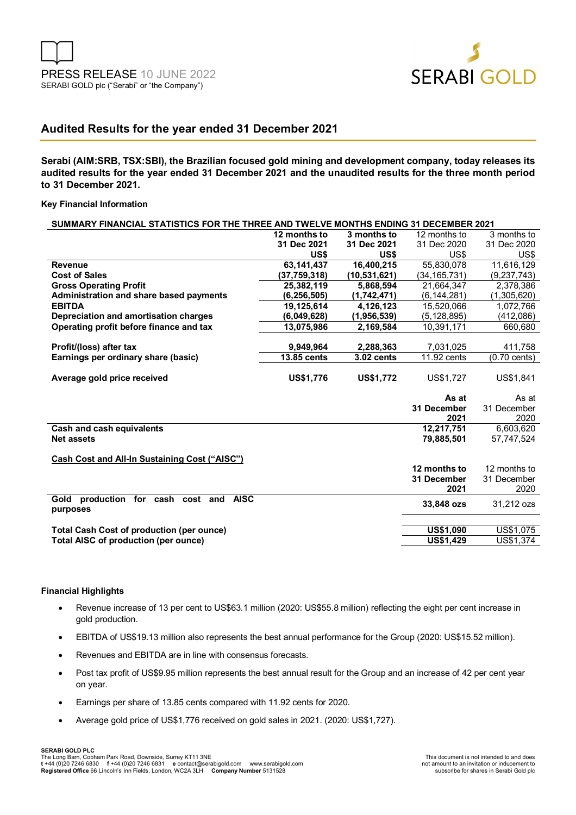

## **Audited Results for the year ended 31 December 2021**

**Serabi (AIM:SRB, TSX:SBI), the Brazilian focused gold mining and development company, today releases its audited results for the year ended 31 December 2021 and the unaudited results for the three month period to 31 December 2021.** 

## **Key Financial Information**

| SUMMARY FINANCIAL STATISTICS FOR THE THREE AND TWELVE MONTHS ENDING 31 DECEMBER 2021     |               |              |                               |                        |
|------------------------------------------------------------------------------------------|---------------|--------------|-------------------------------|------------------------|
|                                                                                          | 12 months to  | 3 months to  | 12 months to                  | 3 months to            |
|                                                                                          | 31 Dec 2021   | 31 Dec 2021  | 31 Dec 2020                   | 31 Dec 2020            |
|                                                                                          | US\$          | US\$         | US\$                          | US\$                   |
| <b>Revenue</b>                                                                           | 63,141,437    | 16,400,215   | 55,830,078                    | 11,616,129             |
| <b>Cost of Sales</b>                                                                     | (37,759,318)  | (10,531,621) | (34,165,731)                  | (9, 237, 743)          |
| <b>Gross Operating Profit</b>                                                            | 25,382,119    | 5,868,594    | 21,664,347                    | 2,378,386              |
| Administration and share based payments                                                  | (6, 256, 505) | (1,742,471)  | (6, 144, 281)                 | (1,305,620)            |
| <b>EBITDA</b>                                                                            | 19,125,614    | 4,126,123    | 15,520,066                    | 1,072,766              |
| Depreciation and amortisation charges                                                    | (6,049,628)   | (1,956,539)  | (5,128,895)                   | (412,086)              |
| Operating profit before finance and tax                                                  | 13,075,986    | 2,169,584    | 10,391,171                    | 660,680                |
|                                                                                          |               |              |                               |                        |
| Profit/(loss) after tax                                                                  | 9,949,964     | 2,288,363    | 7.031.025                     | 411,758                |
| Earnings per ordinary share (basic)                                                      | 13.85 cents   | 3.02 cents   | 11.92 cents                   | $(0.70 \text{ cents})$ |
| Average gold price received                                                              | US\$1,776     | US\$1,772    | US\$1,727                     | US\$1,841              |
|                                                                                          |               |              |                               |                        |
|                                                                                          |               |              | As at                         | As at                  |
|                                                                                          |               |              | 31 December                   | 31 December            |
|                                                                                          |               |              | 2021                          | 2020                   |
| Cash and cash equivalents                                                                |               |              | 12,217,751                    | 6,603,620              |
| <b>Net assets</b>                                                                        |               |              | 79,885,501                    | 57,747,524             |
|                                                                                          |               |              |                               |                        |
| Cash Cost and All-In Sustaining Cost ("AISC")                                            |               |              |                               |                        |
|                                                                                          |               |              | 12 months to                  | 12 months to           |
|                                                                                          |               |              | 31 December                   | 31 December            |
|                                                                                          |               |              | 2021                          | 2020                   |
| Gold production for cash cost and AISC<br>purposes                                       |               |              | 33,848 ozs                    | 31,212 ozs             |
|                                                                                          |               |              |                               |                        |
| <b>Total Cash Cost of production (per ounce)</b><br>Total AISC of production (per ounce) |               |              | <b>US\$1,090</b><br>US\$1,429 | US\$1,075<br>US\$1,374 |

#### **Financial Highlights**

- Revenue increase of 13 per cent to US\$63.1 million (2020: US\$55.8 million) reflecting the eight per cent increase in gold production.
- EBITDA of US\$19.13 million also represents the best annual performance for the Group (2020: US\$15.52 million).
- Revenues and EBITDA are in line with consensus forecasts.
- Post tax profit of US\$9.95 million represents the best annual result for the Group and an increase of 42 per cent year on year.
- Earnings per share of 13.85 cents compared with 11.92 cents for 2020.
- Average gold price of US\$1,776 received on gold sales in 2021. (2020: US\$1,727).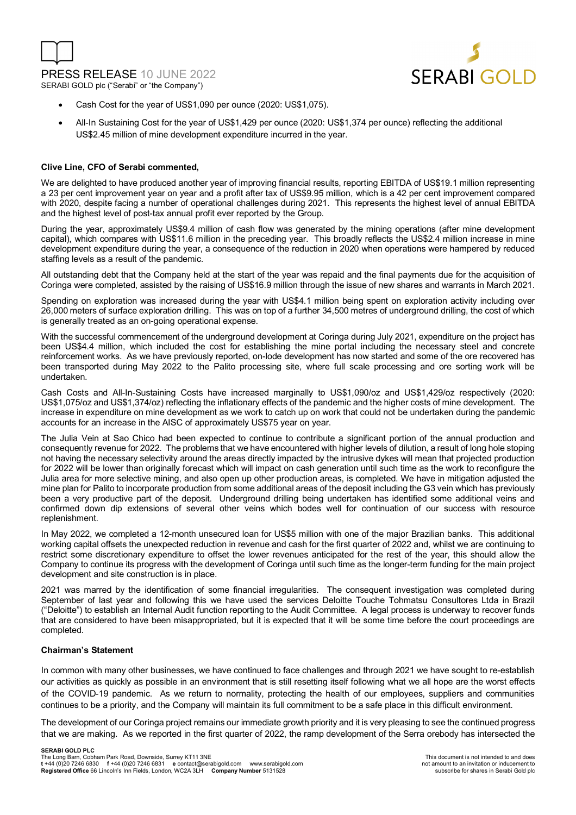



- Cash Cost for the year of US\$1,090 per ounce (2020: US\$1,075).
- All-In Sustaining Cost for the year of US\$1,429 per ounce (2020: US\$1,374 per ounce) reflecting the additional US\$2.45 million of mine development expenditure incurred in the year.

#### **Clive Line, CFO of Serabi commented,**

We are delighted to have produced another year of improving financial results, reporting EBITDA of US\$19.1 million representing a 23 per cent improvement year on year and a profit after tax of US\$9.95 million, which is a 42 per cent improvement compared with 2020, despite facing a number of operational challenges during 2021. This represents the highest level of annual EBITDA and the highest level of post-tax annual profit ever reported by the Group.

During the year, approximately US\$9.4 million of cash flow was generated by the mining operations (after mine development capital), which compares with US\$11.6 million in the preceding year. This broadly reflects the US\$2.4 million increase in mine development expenditure during the year, a consequence of the reduction in 2020 when operations were hampered by reduced staffing levels as a result of the pandemic.

All outstanding debt that the Company held at the start of the year was repaid and the final payments due for the acquisition of Coringa were completed, assisted by the raising of US\$16.9 million through the issue of new shares and warrants in March 2021.

Spending on exploration was increased during the year with US\$4.1 million being spent on exploration activity including over 26,000 meters of surface exploration drilling. This was on top of a further 34,500 metres of underground drilling, the cost of which is generally treated as an on-going operational expense.

With the successful commencement of the underground development at Coringa during July 2021, expenditure on the project has been US\$4.4 million, which included the cost for establishing the mine portal including the necessary steel and concrete reinforcement works. As we have previously reported, on-lode development has now started and some of the ore recovered has been transported during May 2022 to the Palito processing site, where full scale processing and ore sorting work will be undertaken.

Cash Costs and All-In-Sustaining Costs have increased marginally to US\$1,090/oz and US\$1,429/oz respectively (2020: US\$1,075/oz and US\$1,374/oz) reflecting the inflationary effects of the pandemic and the higher costs of mine development. The increase in expenditure on mine development as we work to catch up on work that could not be undertaken during the pandemic accounts for an increase in the AISC of approximately US\$75 year on year.

The Julia Vein at Sao Chico had been expected to continue to contribute a significant portion of the annual production and consequently revenue for 2022. The problems that we have encountered with higher levels of dilution, a result of long hole stoping not having the necessary selectivity around the areas directly impacted by the intrusive dykes will mean that projected production for 2022 will be lower than originally forecast which will impact on cash generation until such time as the work to reconfigure the Julia area for more selective mining, and also open up other production areas, is completed. We have in mitigation adjusted the mine plan for Palito to incorporate production from some additional areas of the deposit including the G3 vein which has previously been a very productive part of the deposit. Underground drilling being undertaken has identified some additional veins and confirmed down dip extensions of several other veins which bodes well for continuation of our success with resource replenishment.

In May 2022, we completed a 12-month unsecured loan for US\$5 million with one of the major Brazilian banks. This additional working capital offsets the unexpected reduction in revenue and cash for the first quarter of 2022 and, whilst we are continuing to restrict some discretionary expenditure to offset the lower revenues anticipated for the rest of the year, this should allow the Company to continue its progress with the development of Coringa until such time as the longer-term funding for the main project development and site construction is in place.

2021 was marred by the identification of some financial irregularities. The consequent investigation was completed during September of last year and following this we have used the services Deloitte Touche Tohmatsu Consultores Ltda in Brazil ("Deloitte") to establish an Internal Audit function reporting to the Audit Committee. A legal process is underway to recover funds that are considered to have been misappropriated, but it is expected that it will be some time before the court proceedings are completed.

#### **Chairman's Statement**

In common with many other businesses, we have continued to face challenges and through 2021 we have sought to re-establish our activities as quickly as possible in an environment that is still resetting itself following what we all hope are the worst effects of the COVID-19 pandemic. As we return to normality, protecting the health of our employees, suppliers and communities continues to be a priority, and the Company will maintain its full commitment to be a safe place in this difficult environment.

The development of our Coringa project remains our immediate growth priority and it is very pleasing to see the continued progress that we are making. As we reported in the first quarter of 2022, the ramp development of the Serra orebody has intersected the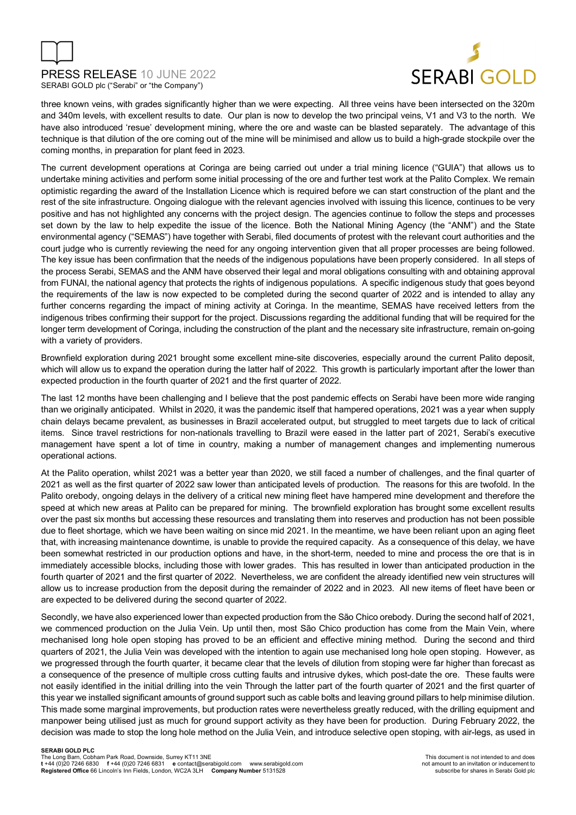

three known veins, with grades significantly higher than we were expecting. All three veins have been intersected on the 320m and 340m levels, with excellent results to date. Our plan is now to develop the two principal veins, V1 and V3 to the north. We have also introduced 'resue' development mining, where the ore and waste can be blasted separately. The advantage of this technique is that dilution of the ore coming out of the mine will be minimised and allow us to build a high-grade stockpile over the coming months, in preparation for plant feed in 2023.

The current development operations at Coringa are being carried out under a trial mining licence ("GUIA") that allows us to undertake mining activities and perform some initial processing of the ore and further test work at the Palito Complex. We remain optimistic regarding the award of the Installation Licence which is required before we can start construction of the plant and the rest of the site infrastructure. Ongoing dialogue with the relevant agencies involved with issuing this licence, continues to be very positive and has not highlighted any concerns with the project design. The agencies continue to follow the steps and processes set down by the law to help expedite the issue of the licence. Both the National Mining Agency (the "ANM") and the State environmental agency ("SEMAS") have together with Serabi, filed documents of protest with the relevant court authorities and the court judge who is currently reviewing the need for any ongoing intervention given that all proper processes are being followed. The key issue has been confirmation that the needs of the indigenous populations have been properly considered. In all steps of the process Serabi, SEMAS and the ANM have observed their legal and moral obligations consulting with and obtaining approval from FUNAI, the national agency that protects the rights of indigenous populations. A specific indigenous study that goes beyond the requirements of the law is now expected to be completed during the second quarter of 2022 and is intended to allay any further concerns regarding the impact of mining activity at Coringa. In the meantime, SEMAS have received letters from the indigenous tribes confirming their support for the project. Discussions regarding the additional funding that will be required for the longer term development of Coringa, including the construction of the plant and the necessary site infrastructure, remain on-going with a variety of providers.

Brownfield exploration during 2021 brought some excellent mine-site discoveries, especially around the current Palito deposit, which will allow us to expand the operation during the latter half of 2022. This growth is particularly important after the lower than expected production in the fourth quarter of 2021 and the first quarter of 2022.

The last 12 months have been challenging and I believe that the post pandemic effects on Serabi have been more wide ranging than we originally anticipated. Whilst in 2020, it was the pandemic itself that hampered operations, 2021 was a year when supply chain delays became prevalent, as businesses in Brazil accelerated output, but struggled to meet targets due to lack of critical items. Since travel restrictions for non-nationals travelling to Brazil were eased in the latter part of 2021, Serabi's executive management have spent a lot of time in country, making a number of management changes and implementing numerous operational actions.

At the Palito operation, whilst 2021 was a better year than 2020, we still faced a number of challenges, and the final quarter of 2021 as well as the first quarter of 2022 saw lower than anticipated levels of production. The reasons for this are twofold. In the Palito orebody, ongoing delays in the delivery of a critical new mining fleet have hampered mine development and therefore the speed at which new areas at Palito can be prepared for mining. The brownfield exploration has brought some excellent results over the past six months but accessing these resources and translating them into reserves and production has not been possible due to fleet shortage, which we have been waiting on since mid 2021. In the meantime, we have been reliant upon an aging fleet that, with increasing maintenance downtime, is unable to provide the required capacity. As a consequence of this delay, we have been somewhat restricted in our production options and have, in the short-term, needed to mine and process the ore that is in immediately accessible blocks, including those with lower grades. This has resulted in lower than anticipated production in the fourth quarter of 2021 and the first quarter of 2022. Nevertheless, we are confident the already identified new vein structures will allow us to increase production from the deposit during the remainder of 2022 and in 2023. All new items of fleet have been or are expected to be delivered during the second quarter of 2022.

Secondly, we have also experienced lower than expected production from the São Chico orebody. During the second half of 2021, we commenced production on the Julia Vein. Up until then, most São Chico production has come from the Main Vein, where mechanised long hole open stoping has proved to be an efficient and effective mining method. During the second and third quarters of 2021, the Julia Vein was developed with the intention to again use mechanised long hole open stoping. However, as we progressed through the fourth quarter, it became clear that the levels of dilution from stoping were far higher than forecast as a consequence of the presence of multiple cross cutting faults and intrusive dykes, which post-date the ore. These faults were not easily identified in the initial drilling into the vein Through the latter part of the fourth quarter of 2021 and the first quarter of this year we installed significant amounts of ground support such as cable bolts and leaving ground pillars to help minimise dilution. This made some marginal improvements, but production rates were nevertheless greatly reduced, with the drilling equipment and manpower being utilised just as much for ground support activity as they have been for production. During February 2022, the decision was made to stop the long hole method on the Julia Vein, and introduce selective open stoping, with air-legs, as used in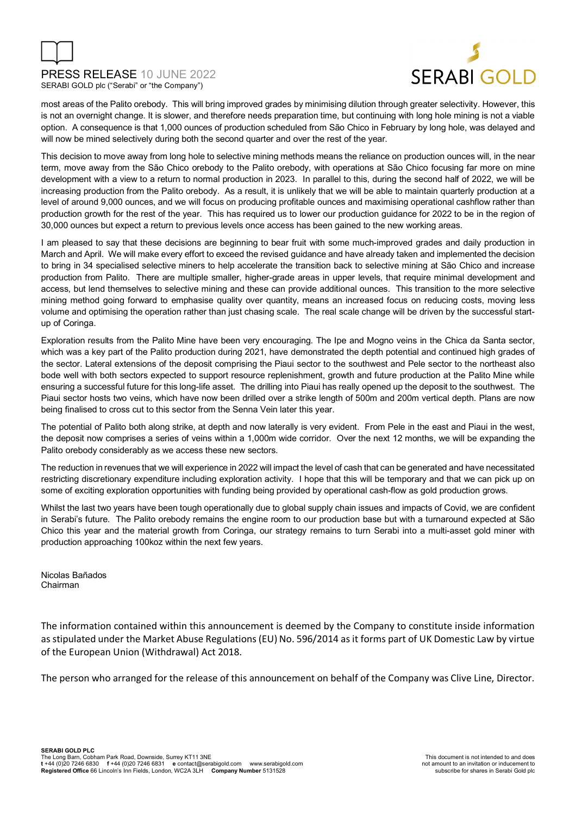

most areas of the Palito orebody. This will bring improved grades by minimising dilution through greater selectivity. However, this is not an overnight change. It is slower, and therefore needs preparation time, but continuing with long hole mining is not a viable option. A consequence is that 1,000 ounces of production scheduled from São Chico in February by long hole, was delayed and will now be mined selectively during both the second quarter and over the rest of the year.

This decision to move away from long hole to selective mining methods means the reliance on production ounces will, in the near term, move away from the São Chico orebody to the Palito orebody, with operations at São Chico focusing far more on mine development with a view to a return to normal production in 2023. In parallel to this, during the second half of 2022, we will be increasing production from the Palito orebody. As a result, it is unlikely that we will be able to maintain quarterly production at a level of around 9,000 ounces, and we will focus on producing profitable ounces and maximising operational cashflow rather than production growth for the rest of the year. This has required us to lower our production guidance for 2022 to be in the region of 30,000 ounces but expect a return to previous levels once access has been gained to the new working areas.

I am pleased to say that these decisions are beginning to bear fruit with some much-improved grades and daily production in March and April. We will make every effort to exceed the revised guidance and have already taken and implemented the decision to bring in 34 specialised selective miners to help accelerate the transition back to selective mining at São Chico and increase production from Palito. There are multiple smaller, higher-grade areas in upper levels, that require minimal development and access, but lend themselves to selective mining and these can provide additional ounces. This transition to the more selective mining method going forward to emphasise quality over quantity, means an increased focus on reducing costs, moving less volume and optimising the operation rather than just chasing scale. The real scale change will be driven by the successful startup of Coringa.

Exploration results from the Palito Mine have been very encouraging. The Ipe and Mogno veins in the Chica da Santa sector, which was a key part of the Palito production during 2021, have demonstrated the depth potential and continued high grades of the sector. Lateral extensions of the deposit comprising the Piaui sector to the southwest and Pele sector to the northeast also bode well with both sectors expected to support resource replenishment, growth and future production at the Palito Mine while ensuring a successful future for this long-life asset. The drilling into Piaui has really opened up the deposit to the southwest. The Piaui sector hosts two veins, which have now been drilled over a strike length of 500m and 200m vertical depth. Plans are now being finalised to cross cut to this sector from the Senna Vein later this year.

The potential of Palito both along strike, at depth and now laterally is very evident. From Pele in the east and Piaui in the west, the deposit now comprises a series of veins within a 1,000m wide corridor. Over the next 12 months, we will be expanding the Palito orebody considerably as we access these new sectors.

The reduction in revenues that we will experience in 2022 will impact the level of cash that can be generated and have necessitated restricting discretionary expenditure including exploration activity. I hope that this will be temporary and that we can pick up on some of exciting exploration opportunities with funding being provided by operational cash-flow as gold production grows.

Whilst the last two years have been tough operationally due to global supply chain issues and impacts of Covid, we are confident in Serabi's future. The Palito orebody remains the engine room to our production base but with a turnaround expected at São Chico this year and the material growth from Coringa, our strategy remains to turn Serabi into a multi-asset gold miner with production approaching 100koz within the next few years.

Nicolas Bañados Chairman

The information contained within this announcement is deemed by the Company to constitute inside information as stipulated under the Market Abuse Regulations (EU) No. 596/2014 as it forms part of UK Domestic Law by virtue of the European Union (Withdrawal) Act 2018.

The person who arranged for the release of this announcement on behalf of the Company was Clive Line, Director.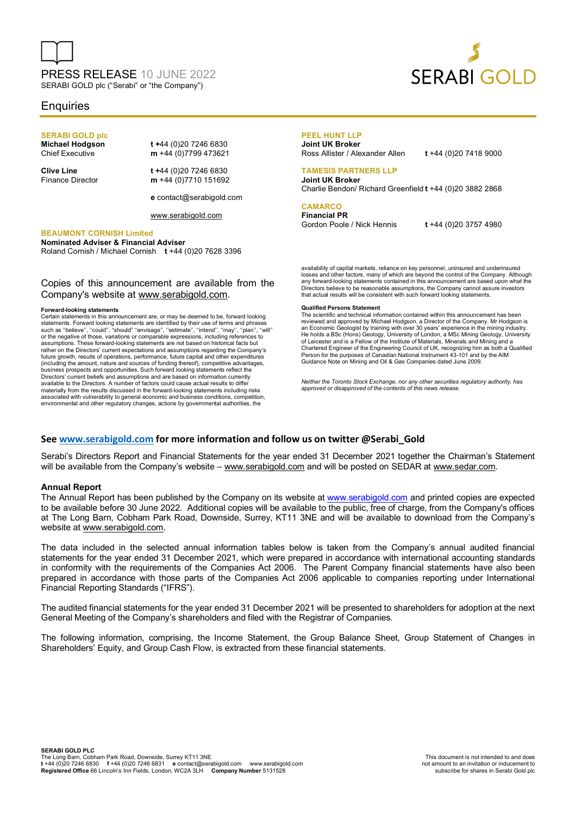## **Enquiries**



**SERABI GOLD plc Michael Hodgson t +**44 (0)20 7246 6830

Chief Executive **m** +44 (0)7799 473621

**Clive Line** t +44 (0)20 7246 6830<br>Fínance Director **m** +44 (0)7710 151692 m +44 (0)7710 151692

**e** contact@serabigold.com

www.serabigold.com

#### **BEAUMONT CORNISH Limited**

**Nominated Adviser & Financial Adviser**  Roland Cornish / Michael Cornish **t** +44 (0)20 7628 3396

### Copies of this announcement are available from the Company's website at www.serabigold.com.

#### **Forward-looking statements**

Certain statements in this announcement are, or may be deemed to be, forward looking statements. Forward looking statements are identified by their use of terms and phrases such as "believe", "could", "should" "envisage", "estimate", "intend", "may", "plan", "will"<br>or the negative of those, variations or comparable expressions, including references to assumptions. These forward-looking statements are not based on historical facts but rather on the Directors' current expectations and assumptions regarding the Company's future growth, results of operations, performance, future capital and other expenditures (including the amount, nature and sources of funding thereof), competitive advantages, business prospects and opportunities. Such forward looking statements reflect the Directors' current beliefs and assumptions and are based on information currently available to the Directors. A number of factors could cause actual results to differ materially from the results discussed in the forward-looking statements including risks associated with vulnerability to general economic and business conditions, competition, environmental and other regulatory changes, actions by governmental authorities, the

**PEEL HUNT LLP Joint UK Broker**

Ross Allister / Alexander Allen **t** +44 (0)20 7418 9000

#### **TAMESIS PARTNERS LLP Joint UK Broker**

Charlie Bendon/ Richard Greenfield **t** +44 (0)20 3882 2868

## **CAMARCO**

**Financial PR** Gordon Poole / Nick Hennis **t** +44 (0)20 3757 4980

availability of capital markets, reliance on key personnel, uninsured and underinsured losses and other factors, many of which are beyond the control of the Company. Although any forward-looking statements contained in this announcement are based upon what the Directors believe to be reasonable assumptions, the Company cannot assure investors that actual results will be consistent with such forward looking statements.

#### **Qualified Persons Statement**

The scientific and technical information contained within this announcement has been reviewed and approved by Michael Hodgson, a Director of the Company. Mr Hodgson is an Economic Geologist by training with over 30 years' experience in the mining industry. He holds a BSc (Hons) Geology, University of London, a MSc Mining Geology, University of Leicester and is a Fellow of the Institute of Materials, Minerals and Mining and a Chartered Engineer of the Engineering Council of UK, recognizing him as both a Qualified<br>Person for the purposes of Canadian National Instrument 43-101 and by the AIM<br>Guidance Note on Mining and Oil & Gas Companies dated J

*Neither the Toronto Stock Exchange, nor any other securities regulatory authority, has approved or disapproved of the contents of this news release.*

#### **See www.serabigold.com for more information and follow us on twitter @Serabi\_Gold**

Serabi's Directors Report and Financial Statements for the year ended 31 December 2021 together the Chairman's Statement will be available from the Company's website – www.serabigold.com and will be posted on SEDAR at www.sedar.com.

#### **Annual Report**

The Annual Report has been published by the Company on its website at www.serabigold.com and printed copies are expected to be available before 30 June 2022. Additional copies will be available to the public, free of charge, from the Company's offices at The Long Barn, Cobham Park Road, Downside, Surrey, KT11 3NE and will be available to download from the Company's website at www.serabigold.com.

The data included in the selected annual information tables below is taken from the Company's annual audited financial statements for the year ended 31 December 2021, which were prepared in accordance with international accounting standards in conformity with the requirements of the Companies Act 2006. The Parent Company financial statements have also been prepared in accordance with those parts of the Companies Act 2006 applicable to companies reporting under International Financial Reporting Standards ("IFRS").

The audited financial statements for the year ended 31 December 2021 will be presented to shareholders for adoption at the next General Meeting of the Company's shareholders and filed with the Registrar of Companies.

The following information, comprising, the Income Statement, the Group Balance Sheet, Group Statement of Changes in Shareholders' Equity, and Group Cash Flow, is extracted from these financial statements.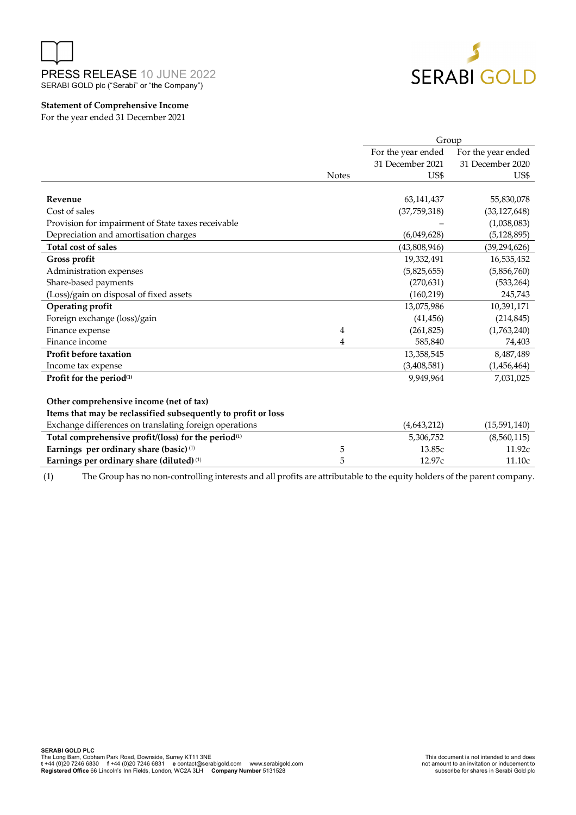



#### **Statement of Comprehensive Income**

For the year ended 31 December 2021

|                                                                 |              | Group              |                    |
|-----------------------------------------------------------------|--------------|--------------------|--------------------|
|                                                                 |              | For the year ended | For the year ended |
|                                                                 |              | 31 December 2021   | 31 December 2020   |
|                                                                 | <b>Notes</b> | US\$               | US\$               |
|                                                                 |              |                    |                    |
| Revenue                                                         |              | 63,141,437         | 55,830,078         |
| Cost of sales                                                   |              | (37,759,318)       | (33, 127, 648)     |
| Provision for impairment of State taxes receivable              |              |                    | (1,038,083)        |
| Depreciation and amortisation charges                           |              | (6,049,628)        | (5, 128, 895)      |
| <b>Total cost of sales</b>                                      |              | (43,808,946)       | (39, 294, 626)     |
| Gross profit                                                    |              | 19,332,491         | 16,535,452         |
| Administration expenses                                         |              | (5,825,655)        | (5,856,760)        |
| Share-based payments                                            |              | (270, 631)         | (533, 264)         |
| (Loss)/gain on disposal of fixed assets                         |              | (160, 219)         | 245,743            |
| Operating profit                                                |              | 13,075,986         | 10,391,171         |
| Foreign exchange (loss)/gain                                    |              | (41, 456)          | (214, 845)         |
| Finance expense                                                 | 4            | (261, 825)         | (1,763,240)        |
| Finance income                                                  | 4            | 585,840            | 74,403             |
| <b>Profit before taxation</b>                                   |              | 13,358,545         | 8,487,489          |
| Income tax expense                                              |              | (3,408,581)        | (1,456,464)        |
| Profit for the period <sup>(1)</sup>                            |              | 9,949,964          | 7,031,025          |
|                                                                 |              |                    |                    |
| Other comprehensive income (net of tax)                         |              |                    |                    |
| Items that may be reclassified subsequently to profit or loss   |              |                    |                    |
| Exchange differences on translating foreign operations          |              | (4,643,212)        | (15, 591, 140)     |
| Total comprehensive profit/(loss) for the period <sup>(1)</sup> |              | 5,306,752          | (8,560,115)        |
| Earnings per ordinary share (basic) <sup>(1)</sup>              | 5            | 13.85c             | 11.92c             |
| Earnings per ordinary share (diluted) <sup>(1)</sup>            | 5            | 12.97c             | 11.10c             |

(1) The Group has no non-controlling interests and all profits are attributable to the equity holders of the parent company.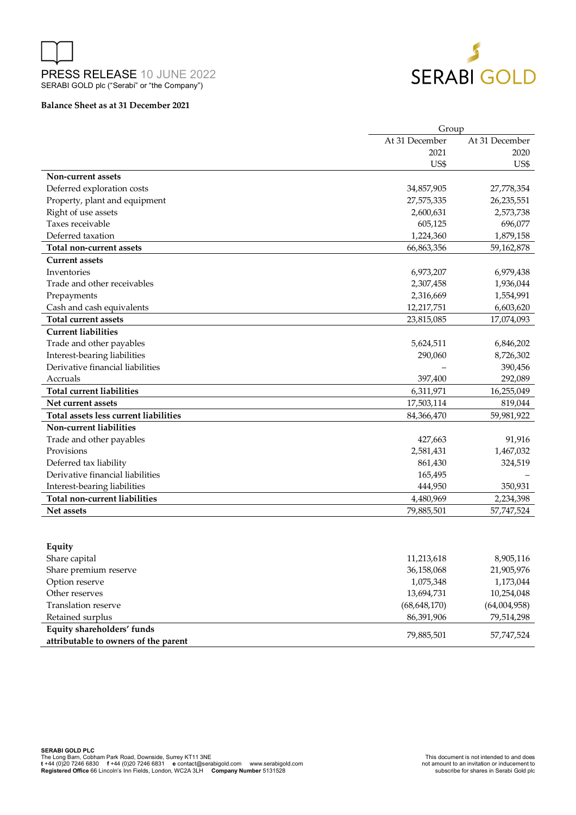

#### **Balance Sheet as at 31 December 2021**



|                                       | Group          |                |  |
|---------------------------------------|----------------|----------------|--|
|                                       | At 31 December | At 31 December |  |
|                                       | 2021           | 2020           |  |
|                                       | US\$           | US\$           |  |
| Non-current assets                    |                |                |  |
| Deferred exploration costs            | 34,857,905     | 27,778,354     |  |
| Property, plant and equipment         | 27,575,335     | 26,235,551     |  |
| Right of use assets                   | 2,600,631      | 2,573,738      |  |
| Taxes receivable                      | 605,125        | 696,077        |  |
| Deferred taxation                     | 1,224,360      | 1,879,158      |  |
| <b>Total non-current assets</b>       | 66,863,356     | 59, 162, 878   |  |
| <b>Current assets</b>                 |                |                |  |
| Inventories                           | 6,973,207      | 6,979,438      |  |
| Trade and other receivables           | 2,307,458      | 1,936,044      |  |
| Prepayments                           | 2,316,669      | 1,554,991      |  |
| Cash and cash equivalents             | 12,217,751     | 6,603,620      |  |
| <b>Total current assets</b>           | 23,815,085     | 17,074,093     |  |
| <b>Current liabilities</b>            |                |                |  |
| Trade and other payables              | 5,624,511      | 6,846,202      |  |
| Interest-bearing liabilities          | 290,060        | 8,726,302      |  |
| Derivative financial liabilities      |                | 390,456        |  |
| Accruals                              | 397,400        | 292,089        |  |
| <b>Total current liabilities</b>      | 6,311,971      | 16,255,049     |  |
| Net current assets                    | 17,503,114     | 819,044        |  |
| Total assets less current liabilities | 84,366,470     | 59,981,922     |  |
| Non-current liabilities               |                |                |  |
| Trade and other payables              | 427,663        | 91,916         |  |
| Provisions                            | 2,581,431      | 1,467,032      |  |
| Deferred tax liability                | 861,430        | 324,519        |  |
| Derivative financial liabilities      | 165,495        |                |  |
| Interest-bearing liabilities          | 444,950        | 350,931        |  |
| <b>Total non-current liabilities</b>  | 4,480,969      | 2,234,398      |  |
| Net assets                            | 79,885,501     | 57,747,524     |  |

| Equity                               |                |              |
|--------------------------------------|----------------|--------------|
| Share capital                        | 11,213,618     | 8,905,116    |
| Share premium reserve                | 36,158,068     | 21,905,976   |
| Option reserve                       | 1,075,348      | 1,173,044    |
| Other reserves                       | 13,694,731     | 10,254,048   |
| Translation reserve                  | (68, 648, 170) | (64,004,958) |
| Retained surplus                     | 86,391,906     | 79,514,298   |
| Equity shareholders' funds           |                |              |
| attributable to owners of the parent | 79,885,501     | 57,747,524   |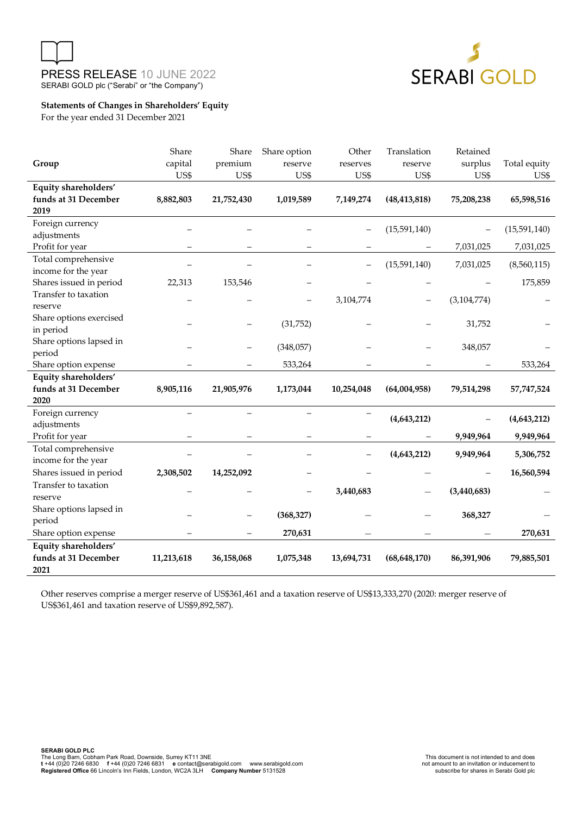



## **Statements of Changes in Shareholders' Equity**

For the year ended 31 December 2021

|                         | Share      | Share                    | Share option | Other      | Translation    | Retained      |              |
|-------------------------|------------|--------------------------|--------------|------------|----------------|---------------|--------------|
| Group                   | capital    | premium                  | reserve      | reserves   | reserve        | surplus       | Total equity |
|                         | US\$       | US\$                     | US\$         | US\$       | US\$           | US\$          | US\$         |
| Equity shareholders'    |            |                          |              |            |                |               |              |
| funds at 31 December    | 8,882,803  | 21,752,430               | 1,019,589    | 7,149,274  | (48, 413, 818) | 75,208,238    | 65,598,516   |
| 2019                    |            |                          |              |            |                |               |              |
| Foreign currency        |            |                          |              |            | (15,591,140)   |               | (15,591,140) |
| adjustments             |            |                          |              |            |                |               |              |
| Profit for year         |            |                          |              |            |                | 7,031,025     | 7,031,025    |
| Total comprehensive     |            |                          |              |            | (15,591,140)   | 7,031,025     | (8,560,115)  |
| income for the year     |            |                          |              |            |                |               |              |
| Shares issued in period | 22,313     | 153,546                  |              |            |                |               | 175,859      |
| Transfer to taxation    |            |                          |              | 3,104,774  |                | (3, 104, 774) |              |
| reserve                 |            |                          |              |            |                |               |              |
| Share options exercised |            |                          | (31, 752)    |            |                | 31,752        |              |
| in period               |            |                          |              |            |                |               |              |
| Share options lapsed in |            |                          | (348,057)    |            |                | 348,057       |              |
| period                  |            |                          |              |            |                |               |              |
| Share option expense    |            |                          | 533,264      |            |                |               | 533,264      |
| Equity shareholders'    |            |                          |              |            |                |               |              |
| funds at 31 December    | 8,905,116  | 21,905,976               | 1,173,044    | 10,254,048 | (64,004,958)   | 79,514,298    | 57,747,524   |
| 2020                    |            |                          |              |            |                |               |              |
| Foreign currency        | $\equiv$   | $\overline{\phantom{0}}$ |              |            | (4,643,212)    |               | (4,643,212)  |
| adjustments             |            |                          |              |            |                |               |              |
| Profit for year         |            |                          |              |            |                | 9,949,964     | 9,949,964    |
| Total comprehensive     |            |                          |              |            | (4,643,212)    | 9,949,964     | 5,306,752    |
| income for the year     |            |                          |              |            |                |               |              |
| Shares issued in period | 2,308,502  | 14,252,092               |              |            |                |               | 16,560,594   |
| Transfer to taxation    |            |                          |              | 3,440,683  |                | (3,440,683)   |              |
| reserve                 |            |                          |              |            |                |               |              |
| Share options lapsed in |            |                          | (368, 327)   |            |                | 368,327       |              |
| period                  |            |                          |              |            |                |               |              |
| Share option expense    |            |                          | 270,631      |            |                |               | 270,631      |
| Equity shareholders'    |            |                          |              |            |                |               |              |
| funds at 31 December    | 11,213,618 | 36,158,068               | 1,075,348    | 13,694,731 | (68, 648, 170) | 86,391,906    | 79,885,501   |
| 2021                    |            |                          |              |            |                |               |              |

Other reserves comprise a merger reserve of US\$361,461 and a taxation reserve of US\$13,333,270 (2020: merger reserve of US\$361,461 and taxation reserve of US\$9,892,587).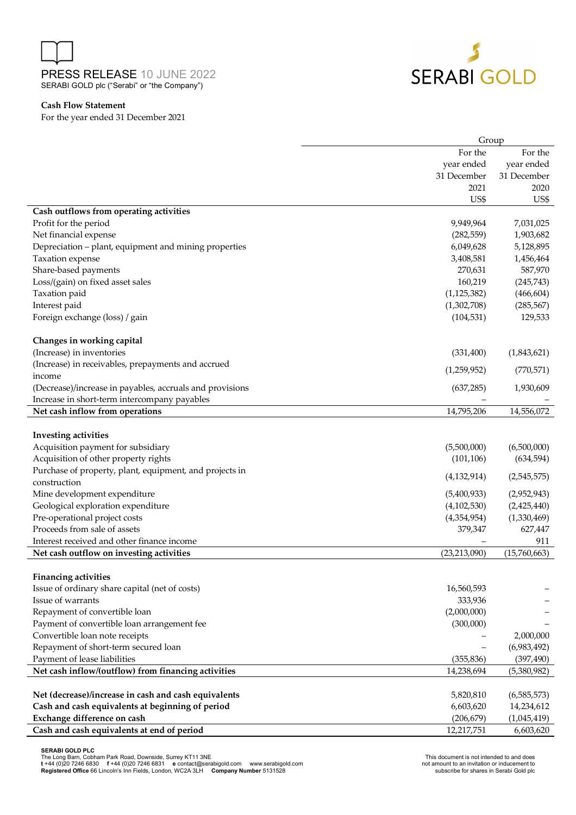



For the year ended 31 December 2021



**SERABI GOLD PLC**  The Long Barn, Cobham Park Road, Downside, Surrey KT11 3NE<br>t +44 (0)20 7246 6830 f +44 (0)20 7246 6831 e contact@serabigold.com www.serabigold.com not amount to an invitation or inducement to **Registered Office** 66 Lincoln's Inn Fields, London, WC2A 3LH **Company Number** 5131528 subscribe for shares in Serabi Gold plc

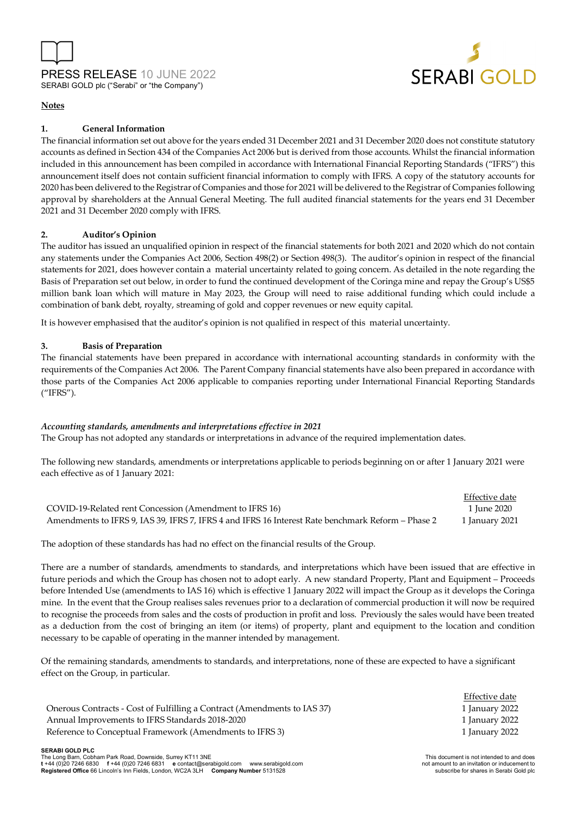



#### **Notes**

#### **1. General Information**

The financial information set out above for the years ended 31 December 2021 and 31 December 2020 does not constitute statutory accounts as defined in Section 434 of the Companies Act 2006 but is derived from those accounts. Whilst the financial information included in this announcement has been compiled in accordance with International Financial Reporting Standards ("IFRS") this announcement itself does not contain sufficient financial information to comply with IFRS. A copy of the statutory accounts for 2020 has been delivered to the Registrar of Companies and those for 2021 will be delivered to the Registrar of Companies following approval by shareholders at the Annual General Meeting. The full audited financial statements for the years end 31 December 2021 and 31 December 2020 comply with IFRS.

#### **2. Auditor's Opinion**

The auditor has issued an unqualified opinion in respect of the financial statements for both 2021 and 2020 which do not contain any statements under the Companies Act 2006, Section 498(2) or Section 498(3). The auditor's opinion in respect of the financial statements for 2021, does however contain a material uncertainty related to going concern. As detailed in the note regarding the Basis of Preparation set out below, in order to fund the continued development of the Coringa mine and repay the Group's US\$5 million bank loan which will mature in May 2023, the Group will need to raise additional funding which could include a combination of bank debt, royalty, streaming of gold and copper revenues or new equity capital.

It is however emphasised that the auditor's opinion is not qualified in respect of this material uncertainty.

#### **3. Basis of Preparation**

The financial statements have been prepared in accordance with international accounting standards in conformity with the requirements of the Companies Act 2006. The Parent Company financial statements have also been prepared in accordance with those parts of the Companies Act 2006 applicable to companies reporting under International Financial Reporting Standards ("IFRS").

#### *Accounting standards, amendments and interpretations effective in 2021*

The Group has not adopted any standards or interpretations in advance of the required implementation dates.

The following new standards, amendments or interpretations applicable to periods beginning on or after 1 January 2021 were each effective as of 1 January 2021:

|                                                                                                   | Effective date |
|---------------------------------------------------------------------------------------------------|----------------|
| COVID-19-Related rent Concession (Amendment to IFRS 16)                                           | 1 June 2020    |
| Amendments to IFRS 9, IAS 39, IFRS 7, IFRS 4 and IFRS 16 Interest Rate benchmark Reform – Phase 2 | 1 January 2021 |

The adoption of these standards has had no effect on the financial results of the Group.

There are a number of standards, amendments to standards, and interpretations which have been issued that are effective in future periods and which the Group has chosen not to adopt early. A new standard Property, Plant and Equipment – Proceeds before Intended Use (amendments to IAS 16) which is effective 1 January 2022 will impact the Group as it develops the Coringa mine. In the event that the Group realises sales revenues prior to a declaration of commercial production it will now be required to recognise the proceeds from sales and the costs of production in profit and loss. Previously the sales would have been treated as a deduction from the cost of bringing an item (or items) of property, plant and equipment to the location and condition necessary to be capable of operating in the manner intended by management.

Of the remaining standards, amendments to standards, and interpretations, none of these are expected to have a significant effect on the Group, in particular.

| Lifective date |
|----------------|
| 1 January 2022 |
| 1 January 2022 |
| 1 January 2022 |
|                |

 $E(f(x))$  defined as  $E(f(x))$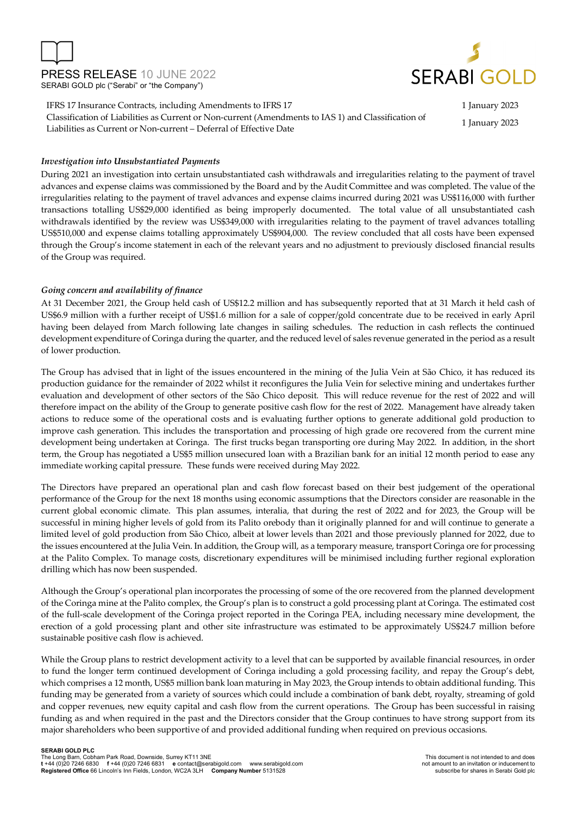



IFRS 17 Insurance Contracts, including Amendments to IFRS 17 1 January 2023 Classification of Liabilities as Current or Non-current (Amendments to IAS 1) and Classification of Liabilities as Current or Non-current – Deferral of Effective Date 1 January 2023

*Investigation into Unsubstantiated Payments* 

During 2021 an investigation into certain unsubstantiated cash withdrawals and irregularities relating to the payment of travel advances and expense claims was commissioned by the Board and by the Audit Committee and was completed. The value of the irregularities relating to the payment of travel advances and expense claims incurred during 2021 was US\$116,000 with further transactions totalling US\$29,000 identified as being improperly documented. The total value of all unsubstantiated cash withdrawals identified by the review was US\$349,000 with irregularities relating to the payment of travel advances totalling US\$510,000 and expense claims totalling approximately US\$904,000. The review concluded that all costs have been expensed through the Group's income statement in each of the relevant years and no adjustment to previously disclosed financial results of the Group was required.

#### *Going concern and availability of finance*

At 31 December 2021, the Group held cash of US\$12.2 million and has subsequently reported that at 31 March it held cash of US\$6.9 million with a further receipt of US\$1.6 million for a sale of copper/gold concentrate due to be received in early April having been delayed from March following late changes in sailing schedules. The reduction in cash reflects the continued development expenditure of Coringa during the quarter, and the reduced level of sales revenue generated in the period as a result of lower production.

The Group has advised that in light of the issues encountered in the mining of the Julia Vein at São Chico, it has reduced its production guidance for the remainder of 2022 whilst it reconfigures the Julia Vein for selective mining and undertakes further evaluation and development of other sectors of the São Chico deposit. This will reduce revenue for the rest of 2022 and will therefore impact on the ability of the Group to generate positive cash flow for the rest of 2022. Management have already taken actions to reduce some of the operational costs and is evaluating further options to generate additional gold production to improve cash generation. This includes the transportation and processing of high grade ore recovered from the current mine development being undertaken at Coringa. The first trucks began transporting ore during May 2022. In addition, in the short term, the Group has negotiated a US\$5 million unsecured loan with a Brazilian bank for an initial 12 month period to ease any immediate working capital pressure. These funds were received during May 2022.

The Directors have prepared an operational plan and cash flow forecast based on their best judgement of the operational performance of the Group for the next 18 months using economic assumptions that the Directors consider are reasonable in the current global economic climate. This plan assumes, interalia, that during the rest of 2022 and for 2023, the Group will be successful in mining higher levels of gold from its Palito orebody than it originally planned for and will continue to generate a limited level of gold production from São Chico, albeit at lower levels than 2021 and those previously planned for 2022, due to the issues encountered at the Julia Vein. In addition, the Group will, as a temporary measure, transport Coringa ore for processing at the Palito Complex. To manage costs, discretionary expenditures will be minimised including further regional exploration drilling which has now been suspended.

Although the Group's operational plan incorporates the processing of some of the ore recovered from the planned development of the Coringa mine at the Palito complex, the Group's plan is to construct a gold processing plant at Coringa. The estimated cost of the full-scale development of the Coringa project reported in the Coringa PEA, including necessary mine development, the erection of a gold processing plant and other site infrastructure was estimated to be approximately US\$24.7 million before sustainable positive cash flow is achieved.

While the Group plans to restrict development activity to a level that can be supported by available financial resources, in order to fund the longer term continued development of Coringa including a gold processing facility, and repay the Group's debt, which comprises a 12 month, US\$5 million bank loan maturing in May 2023, the Group intends to obtain additional funding. This funding may be generated from a variety of sources which could include a combination of bank debt, royalty, streaming of gold and copper revenues, new equity capital and cash flow from the current operations. The Group has been successful in raising funding as and when required in the past and the Directors consider that the Group continues to have strong support from its major shareholders who been supportive of and provided additional funding when required on previous occasions.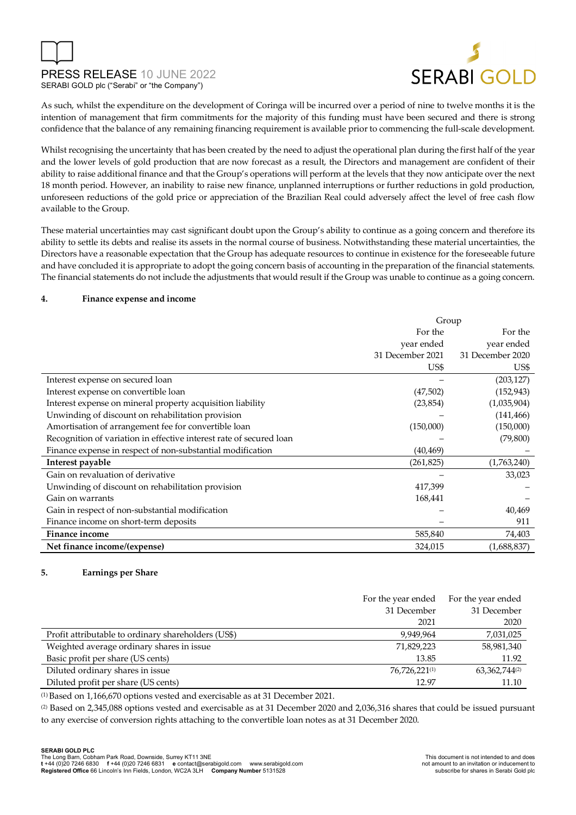

As such, whilst the expenditure on the development of Coringa will be incurred over a period of nine to twelve months it is the intention of management that firm commitments for the majority of this funding must have been secured and there is strong confidence that the balance of any remaining financing requirement is available prior to commencing the full-scale development.

Whilst recognising the uncertainty that has been created by the need to adjust the operational plan during the first half of the year and the lower levels of gold production that are now forecast as a result, the Directors and management are confident of their ability to raise additional finance and that the Group's operations will perform at the levels that they now anticipate over the next 18 month period. However, an inability to raise new finance, unplanned interruptions or further reductions in gold production, unforeseen reductions of the gold price or appreciation of the Brazilian Real could adversely affect the level of free cash flow available to the Group.

These material uncertainties may cast significant doubt upon the Group's ability to continue as a going concern and therefore its ability to settle its debts and realise its assets in the normal course of business. Notwithstanding these material uncertainties, the Directors have a reasonable expectation that the Group has adequate resources to continue in existence for the foreseeable future and have concluded it is appropriate to adopt the going concern basis of accounting in the preparation of the financial statements. The financial statements do not include the adjustments that would result if the Group was unable to continue as a going concern.

#### **4. Finance expense and income**

|                                                                     | Group            |                  |
|---------------------------------------------------------------------|------------------|------------------|
|                                                                     | For the          | For the          |
|                                                                     | year ended       | year ended       |
|                                                                     | 31 December 2021 | 31 December 2020 |
|                                                                     | US\$             | US\$             |
| Interest expense on secured loan                                    |                  | (203, 127)       |
| Interest expense on convertible loan                                | (47,502)         | (152, 943)       |
| Interest expense on mineral property acquisition liability          | (23, 854)        | (1,035,904)      |
| Unwinding of discount on rehabilitation provision                   |                  | (141, 466)       |
| Amortisation of arrangement fee for convertible loan                | (150,000)        | (150,000)        |
| Recognition of variation in effective interest rate of secured loan |                  | (79, 800)        |
| Finance expense in respect of non-substantial modification          | (40,469)         |                  |
| Interest payable                                                    | (261, 825)       | (1,763,240)      |
| Gain on revaluation of derivative                                   |                  | 33,023           |
| Unwinding of discount on rehabilitation provision                   | 417,399          |                  |
| Gain on warrants                                                    | 168,441          |                  |
| Gain in respect of non-substantial modification                     |                  | 40,469           |
| Finance income on short-term deposits                               |                  | 911              |
| <b>Finance income</b>                                               | 585,840          | 74,403           |
| Net finance income/(expense)                                        | 324,015          | (1,688,837)      |

#### **5. Earnings per Share**

|                                                     | For the year ended<br>31 December | For the year ended<br>31 December |
|-----------------------------------------------------|-----------------------------------|-----------------------------------|
|                                                     | 2021                              | 2020                              |
| Profit attributable to ordinary shareholders (US\$) | 9.949.964                         | 7,031,025                         |
| Weighted average ordinary shares in issue           | 71,829,223                        | 58,981,340                        |
| Basic profit per share (US cents)                   | 13.85                             | 11.92                             |
| Diluted ordinary shares in issue                    | 76,726,221 <sup>(1)</sup>         | 63, 362, 744 <sup>(2)</sup>       |
| Diluted profit per share (US cents)                 | 12.97                             | 11.10                             |

(1) Based on 1,166,670 options vested and exercisable as at 31 December 2021.

(2) Based on 2,345,088 options vested and exercisable as at 31 December 2020 and 2,036,316 shares that could be issued pursuant to any exercise of conversion rights attaching to the convertible loan notes as at 31 December 2020.